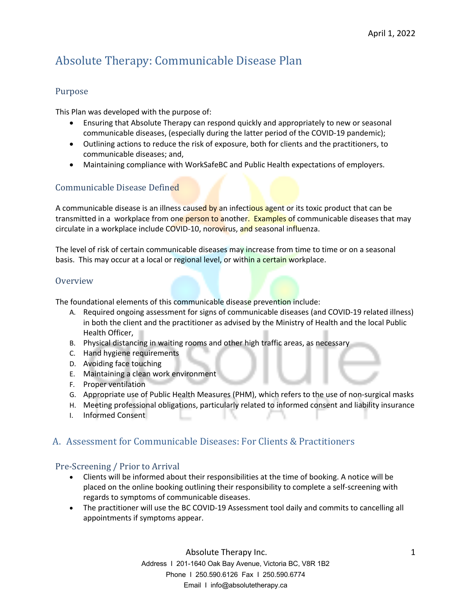# Absolute Therapy: Communicable Disease Plan

### Purpose

This Plan was developed with the purpose of:

- Ensuring that Absolute Therapy can respond quickly and appropriately to new or seasonal communicable diseases, (especially during the latter period of the COVID-19 pandemic);
- Outlining actions to reduce the risk of exposure, both for clients and the practitioners, to communicable diseases; and,
- Maintaining compliance with WorkSafeBC and Public Health expectations of employers.

## Communicable Disease Defined

A communicable disease is an illness caused by an infectious agent or its toxic product that can be transmitted in a workplace from one person to another. Examples of communicable diseases that may circulate in a workplace include COVID-10, norovirus, and seasonal influenza.

The level of risk of certain communicable diseases may increase from time to time or on a seasonal basis. This may occur at a local or regional level, or within a certain workplace.

#### **Overview**

The foundational elements of this communicable disease prevention include:

- A. Required ongoing assessment for signs of communicable diseases (and COVID-19 related illness) in both the client and the practitioner as advised by the Ministry of Health and the local Public Health Officer,
- B. Physical distancing in waiting rooms and other high traffic areas, as necessary
- C. Hand hygiene requirements
- D. Avoiding face touching
- E. Maintaining a clean work environment
- F. Proper ventilation
- G. Appropriate use of Public Health Measures (PHM), which refers to the use of non-surgical masks
- H. Meeting professional obligations, particularly related to informed consent and liability insurance
- I. Informed Consent

## A. Assessment for Communicable Diseases: For Clients & Practitioners

#### Pre-Screening / Prior to Arrival

- Clients will be informed about their responsibilities at the time of booking. A notice will be placed on the online booking outlining their responsibility to complete a self-screening with regards to symptoms of communicable diseases.
- The practitioner will use the BC COVID-19 Assessment tool daily and commits to cancelling all appointments if symptoms appear.

 Absolute Therapy Inc. Address I 201-1640 Oak Bay Avenue, Victoria BC, V8R 1B2 Phone I 250.590.6126 Fax I 250.590.6774 Email I info@absolutetherapy.ca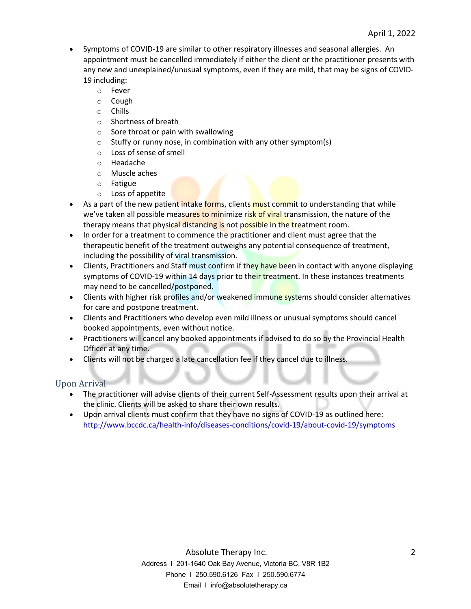- Symptoms of COVID-19 are similar to other respiratory illnesses and seasonal allergies. An appointment must be cancelled immediately if either the client or the practitioner presents with any new and unexplained/unusual symptoms, even if they are mild, that may be signs of COVID-19 including:
	- o Fever
	- o Cough
	- o Chills
	- o Shortness of breath
	- $\circ$  Sore throat or pain with swallowing
	- $\circ$  Stuffy or runny nose, in combination with any other symptom(s)
	- o Loss of sense of smell
	- o Headache
	- o Muscle aches
	- o Fatigue
	- o Loss of appetite
- As a part of the new patient intake forms, clients must commit to understanding that while we've taken all possible measures to minimize risk of viral transmission, the nature of the therapy means that physical distancing is not possible in the treatment room.
- In order for a treatment to commence the practitioner and client must agree that the therapeutic benefit of the treatment outweighs any potential consequence of treatment, including the possibility of viral transmission.
- Clients, Practitioners and Staff must confirm if they have been in contact with anyone displaying symptoms of COVID-19 within 14 days prior to their treatment. In these instances treatments may need to be cancelled/postponed.
- Clients with higher risk profiles and/or weakened immune systems should consider alternatives for care and postpone treatment.
- Clients and Practitioners who develop even mild illness or unusual symptoms should cancel booked appointments, even without notice.
- Practitioners will cancel any booked appointments if advised to do so by the Provincial Health Officer at any time.
- Clients will not be charged a late cancellation fee if they cancel due to illness.

## Upon Arrival

- The practitioner will advise clients of their current Self-Assessment results upon their arrival at the clinic. Clients will be asked to share their own results.
- Upon arrival clients must confirm that they have no signs of COVID-19 as outlined here: http://www.bccdc.ca/health-info/diseases-conditions/covid-19/about-covid-19/symptoms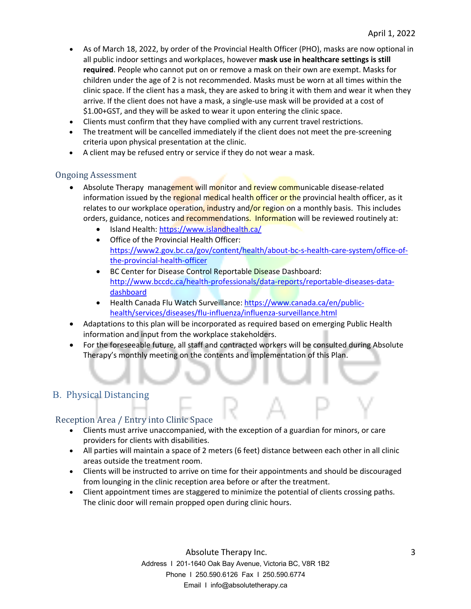- As of March 18, 2022, by order of the Provincial Health Officer (PHO), masks are now optional in all public indoor settings and workplaces, however **mask use in healthcare settings is still required**. People who cannot put on or remove a mask on their own are exempt. Masks for children under the age of 2 is not recommended. Masks must be worn at all times within the clinic space. If the client has a mask, they are asked to bring it with them and wear it when they arrive. If the client does not have a mask, a single-use mask will be provided at a cost of \$1.00+GST, and they will be asked to wear it upon entering the clinic space.
- Clients must confirm that they have complied with any current travel restrictions.
- The treatment will be cancelled immediately if the client does not meet the pre-screening criteria upon physical presentation at the clinic.
- A client may be refused entry or service if they do not wear a mask.

#### Ongoing Assessment

- Absolute Therapy management will monitor and review communicable disease-related information issued by the regional medical health officer or the provincial health officer, as it relates to our workplace operation, industry and/or region on a monthly basis. This includes orders, guidance, notices and recommendations. Information will be reviewed routinely at:
	- Island Health: https://www.islandhealth.ca/
	- Office of the Provincial Health Officer: https://www2.gov.bc.ca/gov/content/health/about-bc-s-health-care-system/office-ofthe-provincial-health-officer
	- BC Center for Disease Control Reportable Disease Dashboard: http://www.bccdc.ca/health-professionals/data-reports/reportable-diseases-datadashboard
	- Health Canada Flu Watch Surveillance: https://www.canada.ca/en/publichealth/services/diseases/flu-influenza/influenza-surveillance.html
- Adaptations to this plan will be incorporated as required based on emerging Public Health information and input from the workplace stakeholders.
- For the foreseeable future, all staff and contracted workers will be consulted during Absolute Therapy's monthly meeting on the contents and implementation of this Plan.

# B. Physical Distancing

#### Reception Area / Entry into Clinic Space

- Clients must arrive unaccompanied, with the exception of a guardian for minors, or care providers for clients with disabilities.
- All parties will maintain a space of 2 meters (6 feet) distance between each other in all clinic areas outside the treatment room.
- Clients will be instructed to arrive on time for their appointments and should be discouraged from lounging in the clinic reception area before or after the treatment.
- Client appointment times are staggered to minimize the potential of clients crossing paths. The clinic door will remain propped open during clinic hours.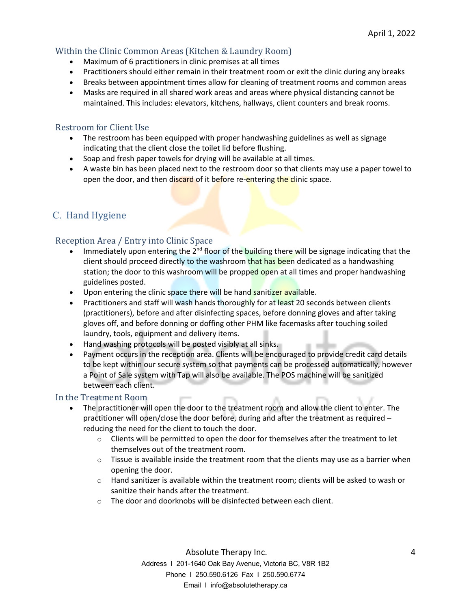### Within the Clinic Common Areas (Kitchen & Laundry Room)

- Maximum of 6 practitioners in clinic premises at all times
- Practitioners should either remain in their treatment room or exit the clinic during any breaks
- Breaks between appointment times allow for cleaning of treatment rooms and common areas
- Masks are required in all shared work areas and areas where physical distancing cannot be maintained. This includes: elevators, kitchens, hallways, client counters and break rooms.

#### Restroom for Client Use

- The restroom has been equipped with proper handwashing guidelines as well as signage indicating that the client close the toilet lid before flushing.
- Soap and fresh paper towels for drying will be available at all times.
- A waste bin has been placed next to the restroom door so that clients may use a paper towel to open the door, and then discard of it before re-entering the clinic space.

# C. Hand Hygiene

#### Reception Area / Entry into Clinic Space

- Immediately upon entering the  $2<sup>nd</sup>$  floor of the building there will be signage indicating that the client should proceed directly to the washroom that has been dedicated as a handwashing station; the door to this washroom will be propped open at all times and proper handwashing guidelines posted.
- Upon entering the clinic space there will be hand sanitizer available.
- Practitioners and staff will wash hands thoroughly for at least 20 seconds between clients (practitioners), before and after disinfecting spaces, before donning gloves and after taking gloves off, and before donning or doffing other PHM like facemasks after touching soiled laundry, tools, equipment and delivery items.
- Hand washing protocols will be posted visibly at all sinks.
- Payment occurs in the reception area. Clients will be encouraged to provide credit card details to be kept within our secure system so that payments can be processed automatically, however a Point of Sale system with Tap will also be available. The POS machine will be sanitized between each client.

#### In the Treatment Room

- The practitioner will open the door to the treatment room and allow the client to enter. The practitioner will open/close the door before, during and after the treatment as required – reducing the need for the client to touch the door.
	- $\circ$  Clients will be permitted to open the door for themselves after the treatment to let themselves out of the treatment room.
	- $\circ$  Tissue is available inside the treatment room that the clients may use as a barrier when opening the door.
	- $\circ$  Hand sanitizer is available within the treatment room; clients will be asked to wash or sanitize their hands after the treatment.
	- $\circ$  The door and doorknobs will be disinfected between each client.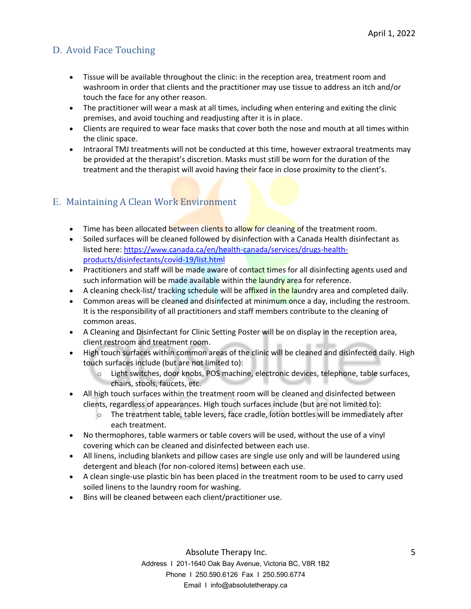# D. Avoid Face Touching

- Tissue will be available throughout the clinic: in the reception area, treatment room and washroom in order that clients and the practitioner may use tissue to address an itch and/or touch the face for any other reason.
- The practitioner will wear a mask at all times, including when entering and exiting the clinic premises, and avoid touching and readjusting after it is in place.
- Clients are required to wear face masks that cover both the nose and mouth at all times within the clinic space.
- Intraoral TMJ treatments will not be conducted at this time, however extraoral treatments may be provided at the therapist's discretion. Masks must still be worn for the duration of the treatment and the therapist will avoid having their face in close proximity to the client's.

# E. Maintaining A Clean Work Environment

- Time has been allocated between clients to allow for cleaning of the treatment room.
- Soiled surfaces will be cleaned followed by disinfection with a Canada Health disinfectant as listed here: https://www.canada.ca/en/health-canada/services/drugs-healthproducts/disinfectants/covid-19/list.html
- Practitioners and staff will be made aware of contact times for all disinfecting agents used and such information will be made available within the laundry area for reference.
- A cleaning check-list/ tracking schedule will be affixed in the laundry area and completed daily.
- Common areas will be cleaned and disinfected at minimum once a day, including the restroom. It is the responsibility of all practitioners and staff members contribute to the cleaning of common areas.
- A Cleaning and Disinfectant for Clinic Setting Poster will be on display in the reception area, client restroom and treatment room.
- High touch surfaces within common areas of the clinic will be cleaned and disinfected daily. High touch surfaces include (but are not limited to):
	- o Light switches, door knobs, POS machine, electronic devices, telephone, table surfaces, chairs, stools, faucets, etc.
- All high touch surfaces within the treatment room will be cleaned and disinfected between clients, regardless of appearances. High touch surfaces include (but are not limited to):
	- o The treatment table, table levers, face cradle, lotion bottles will be immediately after each treatment.
- No thermophores, table warmers or table covers will be used, without the use of a vinyl covering which can be cleaned and disinfected between each use.
- All linens, including blankets and pillow cases are single use only and will be laundered using detergent and bleach (for non-colored items) between each use.
- A clean single-use plastic bin has been placed in the treatment room to be used to carry used soiled linens to the laundry room for washing.
- Bins will be cleaned between each client/practitioner use.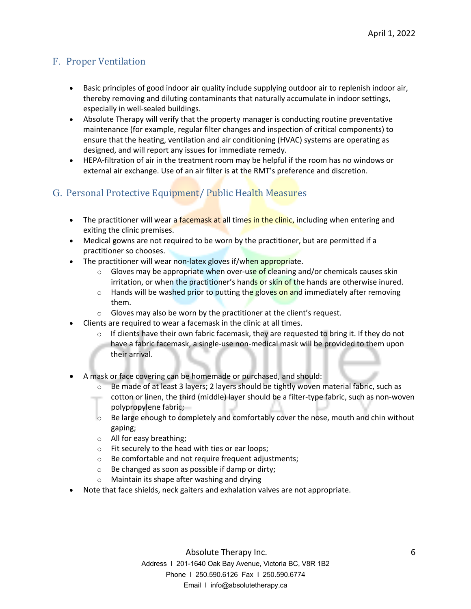# F. Proper Ventilation

- Basic principles of good indoor air quality include supplying outdoor air to replenish indoor air, thereby removing and diluting contaminants that naturally accumulate in indoor settings, especially in well-sealed buildings.
- Absolute Therapy will verify that the property manager is conducting routine preventative maintenance (for example, regular filter changes and inspection of critical components) to ensure that the heating, ventilation and air conditioning (HVAC) systems are operating as designed, and will report any issues for immediate remedy.
- HEPA-filtration of air in the treatment room may be helpful if the room has no windows or external air exchange. Use of an air filter is at the RMT's preference and discretion.

# G. Personal Protective Equipment/ Public Health Measures

- The practitioner will wear a facemask at all times in the clinic, including when entering and exiting the clinic premises.
- Medical gowns are not required to be worn by the practitioner, but are permitted if a practitioner so chooses.
- The practitioner will wear non-latex gloves if/when appropriate.
	- $\circ$  Gloves may be appropriate when over-use of cleaning and/or chemicals causes skin irritation, or when the practitioner's hands or skin of the hands are otherwise inured.
	- $\circ$  Hands will be washed prior to putting the gloves on and immediately after removing them.
	- o Gloves may also be worn by the practitioner at the client's request.
- Clients are required to wear a facemask in the clinic at all times.
	- $\circ$  If clients have their own fabric facemask, they are requested to bring it. If they do not have a fabric facemask, a single-use non-medical mask will be provided to them upon their arrival.
- A mask or face covering can be homemade or purchased, and should:
	- $\circ$  Be made of at least 3 layers; 2 layers should be tightly woven material fabric, such as cotton or linen, the third (middle) layer should be a filter-type fabric, such as non-woven polypropylene fabric;
	- o Be large enough to completely and comfortably cover the nose, mouth and chin without gaping;
	- o All for easy breathing;
	- o Fit securely to the head with ties or ear loops;
	- o Be comfortable and not require frequent adjustments;
	- o Be changed as soon as possible if damp or dirty;
	- o Maintain its shape after washing and drying
- Note that face shields, neck gaiters and exhalation valves are not appropriate.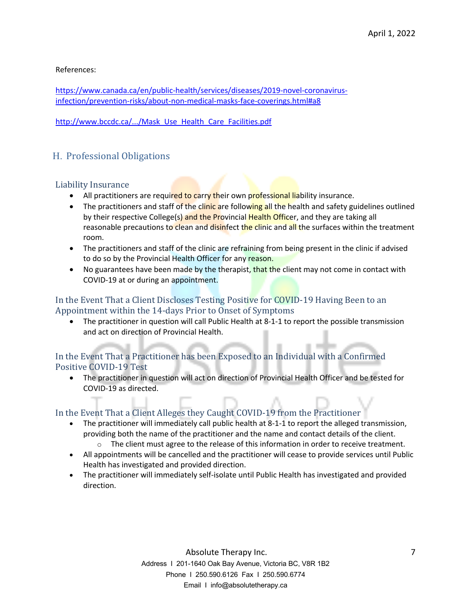References:

https://www.canada.ca/en/public-health/services/diseases/2019-novel-coronavirusinfection/prevention-risks/about-non-medical-masks-face-coverings.html#a8

http://www.bccdc.ca/.../Mask\_Use\_Health\_Care\_Facilities.pdf

# H. Professional Obligations

#### Liability Insurance

- All practitioners are required to carry their own professional liability insurance.
- The practitioners and staff of the clinic are following all the health and safety guidelines outlined by their respective College(s) and the Provincial Health Officer, and they are taking all reasonable precautions to clean and disinfect the clinic and all the surfaces within the treatment room.
- The practitioners and staff of the clinic are refraining from being present in the clinic if advised to do so by the Provincial Health Officer for any reason.
- No guarantees have been made by the therapist, that the client may not come in contact with COVID-19 at or during an appointment.

# In the Event That a Client Discloses Testing Positive for COVID-19 Having Been to an Appointment within the 14-days Prior to Onset of Symptoms

• The practitioner in question will call Public Health at 8-1-1 to report the possible transmission and act on direction of Provincial Health.

## In the Event That a Practitioner has been Exposed to an Individual with a Confirmed Positive COVID-19 Test

• The practitioner in question will act on direction of Provincial Health Officer and be tested for COVID-19 as directed.

# In the Event That a Client Alleges they Caught COVID-19 from the Practitioner

- The practitioner will immediately call public health at 8-1-1 to report the alleged transmission, providing both the name of the practitioner and the name and contact details of the client.
	- $\circ$  The client must agree to the release of this information in order to receive treatment.
- All appointments will be cancelled and the practitioner will cease to provide services until Public Health has investigated and provided direction.
- The practitioner will immediately self-isolate until Public Health has investigated and provided direction.